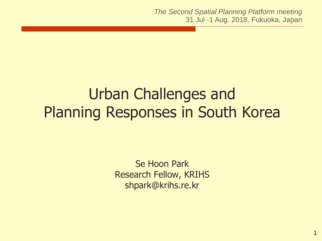*The Second Spatial Planning Platform meeting* 31 Jul -1 Aug. 2018, Fukuoka, Japan

# Urban Challenges and Planning Responses in South Korea

Se Hoon Park Research Fellow, KRIHS shpark@krihs.re.kr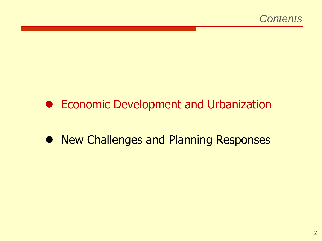#### **• Economic Development and Urbanization**

#### • New Challenges and Planning Responses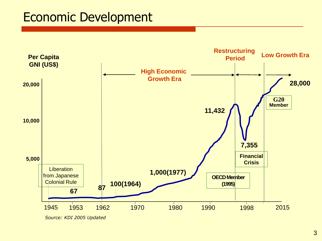#### Economic Development



*Source: KDI 2005 Updated*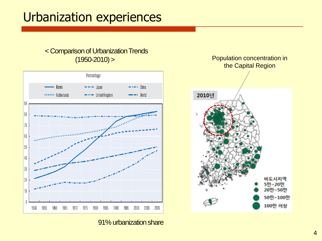#### Urbanization experiences

# < Comparison of Urbanization Trends



(1950-2010) > Population concentration in the Capital Region 2010년 비도시지역 5만~20만 20만~50만 50만~100만 100만 이상

91% urbanization share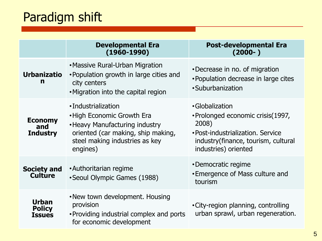# Paradigm shift

|                                          | <b>Developmental Era</b><br>$(1960 - 1990)$                                                                                                                            | <b>Post-developmental Era</b><br>$(2000 - )$                                                                                                                      |
|------------------------------------------|------------------------------------------------------------------------------------------------------------------------------------------------------------------------|-------------------------------------------------------------------------------------------------------------------------------------------------------------------|
| <b>Urbanizatio</b><br>n                  | • Massive Rural-Urban Migration<br>• Population growth in large cities and<br>city centers<br>. Migration into the capital region                                      | •Decrease in no. of migration<br>• Population decrease in large cites<br>•Suburbanization                                                                         |
| <b>Economy</b><br>and<br><b>Industry</b> | •Industrialization<br>• High Economic Growth Era<br>• Heavy Manufacturing industry<br>oriented (car making, ship making,<br>steel making industries as key<br>engines) | •Globalization<br>• Prolonged economic crisis (1997,<br>2008)<br>• Post-industrialization. Service<br>industry(finance, tourism, cultural<br>industries) oriented |
| <b>Society and</b><br><b>Culture</b>     | • Authoritarian regime<br>• Seoul Olympic Games (1988)                                                                                                                 | •Democratic regime<br>• Emergence of Mass culture and<br>tourism                                                                                                  |
| <b>Urban</b><br><b>Policy</b><br>Issues  | . New town development. Housing<br>provision<br>• Providing industrial complex and ports<br>for economic development                                                   | • City-region planning, controlling<br>urban sprawl, urban regeneration.                                                                                          |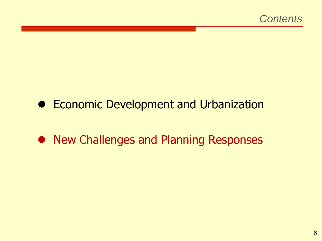#### **• Economic Development and Urbanization**

#### • New Challenges and Planning Responses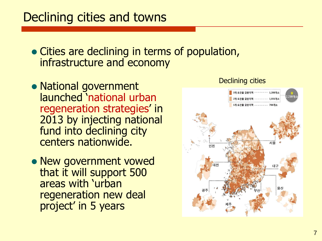#### Declining cities and towns

- Cities are declining in terms of population, infrastructure and economy
- National government launched 'national urban regeneration strategies' in 2013 by injecting national fund into declining city centers nationwide.
- New government vowed that it will support 500 areas with 'urban regeneration new deal project' in 5 years



#### Declining cities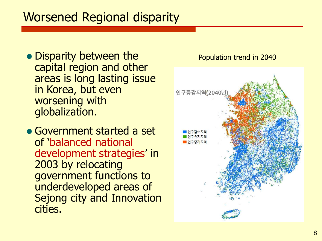### Worsened Regional disparity

• Disparity between the capital region and other areas is long lasting issue in Korea, but even worsening with globalization.

 Government started a set of 'balanced national development strategies' in 2003 by relocating government functions to underdeveloped areas of Sejong city and Innovation cities.

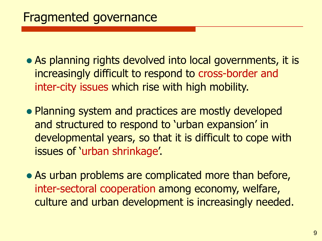- As planning rights devolved into local governments, it is increasingly difficult to respond to cross-border and inter-city issues which rise with high mobility.
- Planning system and practices are mostly developed and structured to respond to 'urban expansion' in developmental years, so that it is difficult to cope with issues of 'urban shrinkage'.
- As urban problems are complicated more than before, inter-sectoral cooperation among economy, welfare, culture and urban development is increasingly needed.